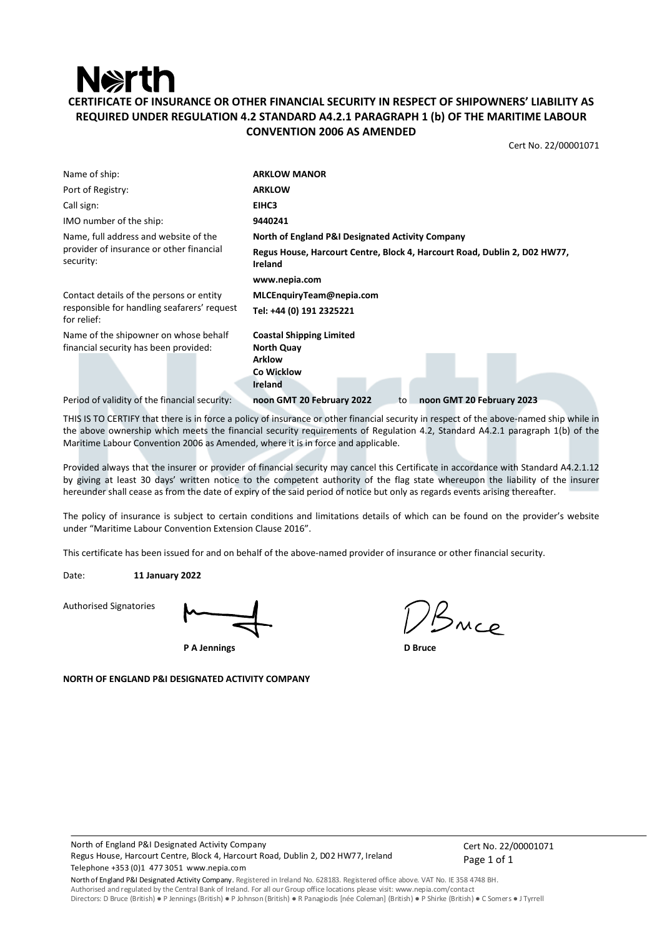## **Nexth** CERTIFICATE OF INSURANCE OR OTHER FINANCIAL SECURITY IN RESPECT OF SHIPOWNERS' LIABILITY AS REQUIRED UNDER REGULATION 4.2 STANDARD A4.2.1 PARAGRAPH 1 (b) OF THE MARITIME LABOUR CONVENTION 2006 AS AMENDED

Cert No. 22/00001071

| Name of ship:                                                                                          | <b>ARKLOW MANOR</b>                                                                         |
|--------------------------------------------------------------------------------------------------------|---------------------------------------------------------------------------------------------|
| Port of Registry:                                                                                      | <b>ARKLOW</b>                                                                               |
| Call sign:                                                                                             | EIHC3                                                                                       |
| IMO number of the ship:                                                                                | 9440241                                                                                     |
| Name, full address and website of the<br>provider of insurance or other financial<br>security:         | North of England P&I Designated Activity Company                                            |
|                                                                                                        | Regus House, Harcourt Centre, Block 4, Harcourt Road, Dublin 2, D02 HW77,<br><b>Ireland</b> |
|                                                                                                        | www.nepia.com                                                                               |
| Contact details of the persons or entity<br>responsible for handling seafarers' request<br>for relief: | MLCEnquiryTeam@nepia.com                                                                    |
|                                                                                                        | Tel: +44 (0) 191 2325221                                                                    |
| Name of the shipowner on whose behalf                                                                  | <b>Coastal Shipping Limited</b>                                                             |
| financial security has been provided:                                                                  | <b>North Quay</b><br><b>Arklow</b>                                                          |
|                                                                                                        | Co Wicklow                                                                                  |
|                                                                                                        | Ireland                                                                                     |
| Period of validity of the financial security:                                                          | noon GMT 20 February 2022<br>noon GMT 20 February 2023<br>to                                |

THIS IS TO CERTIFY that there is in force a policy of insurance or other financial security in respect of the above-named ship while in the above ownership which meets the financial security requirements of Regulation 4.2, Standard A4.2.1 paragraph 1(b) of the Maritime Labour Convention 2006 as Amended, where it is in force and applicable.

Provided always that the insurer or provider of financial security may cancel this Certificate in accordance with Standard A4.2.1.12 by giving at least 30 days' written notice to the competent authority of the flag state whereupon the liability of the insurer hereunder shall cease as from the date of expiry of the said period of notice but only as regards events arising thereafter.

The policy of insurance is subject to certain conditions and limitations details of which can be found on the provider's website under "Maritime Labour Convention Extension Clause 2016".

This certificate has been issued for and on behalf of the above-named provider of insurance or other financial security.

Date: 11 January 2022

Authorised Signatories

P A Jennings D Bruce

NORTH OF ENGLAND P&I DESIGNATED ACTIVITY COMPANY

Buce

Telephone +353 (0)1 477 3051 www.nepia.com North of England P&I Designated Activity Company Regus House, Harcourt Centre, Block 4, Harcourt Road, Dublin 2, D02 HW77, Ireland Cert No. 22/00001071 Page 1 of 1

North of England P&I Designated Activity Company. Registered in Ireland No. 628183. Registered office above. VAT No. IE 358 4748 BH. Authorised and regulated by the Central Bank of Ireland. For all our Group office locations please visit: www.nepia.com/contact Directors: D Bruce (British) ● P Jennings (British) ● P Johnson (British) ● R Panagiodis [née Coleman] (British) ● P Shirke (British) ● C Somers ● J Tyrrell